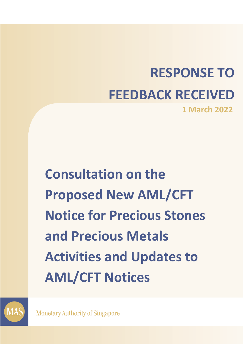# **RESPONSE TO FEEDBACK RECEIVED 1 March 2022**

**Consultation on the Proposed New AML/CFT Notice for Precious Stones and Precious Metals Activities and Updates to AML/CFT Notices** 



**Monetary Authority of Singapore**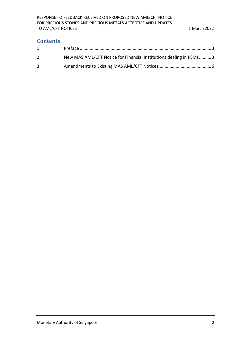# **Contents**

| 1 |                                                                    |
|---|--------------------------------------------------------------------|
| 2 | New MAS AML/CFT Notice for Financial Institutions dealing in PSMs3 |
| 3 |                                                                    |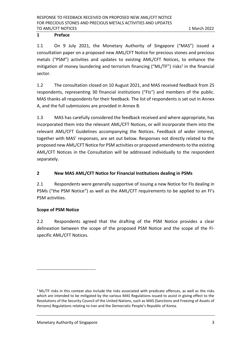## <span id="page-2-0"></span>**1 Preface**

1.1 On 9 July 2021, the Monetary Authority of Singapore ("MAS") issued a consultation paper on a proposed new AML/CFT Notice for precious stones and precious metals ("PSM") activities and updates to existing AML/CFT Notices, to enhance the mitigation of money laundering and terrorism financing ("ML/TF") risks<sup>1</sup> in the financial sector.

1.2 The consultation closed on 10 August 2021, and MAS received feedback from 25 respondents, representing 30 financial institutions ("FIs") and members of the public. MAS thanks all respondents for their feedback. The list of respondents is set out in Annex A, and the full submissions are provided in Annex B.

1.3 MAS has carefully considered the feedback received and where appropriate, has incorporated them into the relevant AML/CFT Notices, or will incorporate them into the relevant AML/CFT Guidelines accompanying the Notices. Feedback of wider interest, together with MAS' responses, are set out below. Responses not directly related to the proposed new AML/CFT Notice for PSM activities or proposed amendments to the existing AML/CFT Notices in the Consultation will be addressed individually to the respondent separately.

# <span id="page-2-1"></span>**2 New MAS AML/CFT Notice for Financial Institutions dealing in PSMs**

2.1 Respondents were generally supportive of issuing a new Notice for FIs dealing in PSMs ("the PSM Notice") as well as the AML/CFT requirements to be applied to an FI's PSM activities.

#### **Scope of PSM Notice**

2.2 Respondents agreed that the drafting of the PSM Notice provides a clear delineation between the scope of the proposed PSM Notice and the scope of the FIspecific AML/CFT Notices.

 $1$  ML/TF risks in this context also include the risks associated with predicate offences, as well as the risks which are intended to be mitigated by the various MAS Regulations issued to assist in giving effect to the Resolutions of the Security Council of the United Nations, such as MAS (Sanctions and Freezing of Assets of Persons) Regulations relating to Iran and the Democratic People's Republic of Korea.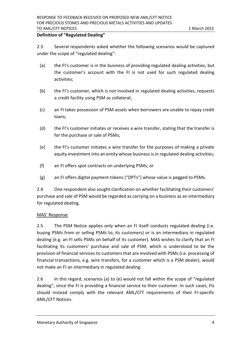#### **Definition of "Regulated Dealing"**

2.3 Several respondents asked whether the following scenarios would be captured under the scope of "regulated dealing":

- (a) the FI's customer is in the business of providing regulated dealing activities, but the customer's account with the FI is not used for such regulated dealing activities;
- (b) the FI's customer, which is not involved in regulated dealing activities, requests a credit facility using PSM as collateral;
- (c) an FI takes possession of PSM assets when borrowers are unable to repay credit loans;
- (d) the FI's customer initiates or receives a wire transfer, stating that the transfer is for the purchase or sale of PSMs;
- (e) the FI's customer initiates a wire transfer for the purposes of making a private equity investment into an entity whose business is in regulated dealing activities;
- (f) an FI offers spot contracts on underlying PSMs; or
- (g) an FI offers digital payment tokens ("DPTs") whose value is pegged to PSMs.

2.4 One respondent also sought clarification on whether facilitating their customers' purchase and sale of PSM would be regarded as carrying on a business as an intermediary for regulated dealing.

#### MAS' Response

2.5 The PSM Notice applies only when an FI itself conducts regulated dealing (i.e. buying PSMs from or selling PSMs to, its customers) or is an intermediary in regulated dealing (e.g. an FI sells PSMs on behalf of its customer). MAS wishes to clarify that an FI facilitating its customers' purchase and sale of PSM, which is understood to be the provision of financial services to customers that are involved with PSMs (i.e. processing of financial transactions, e.g. wire transfers, for a customer which is a PSM dealer), would not make an FI an intermediary in regulated dealing.

2.6 In this regard, scenarios (a) to (e) would not fall within the scope of "regulated dealing", since the FI is providing a financial service to their customer. In such cases, FIs should instead comply with the relevant AML/CFT requirements of their FI-specific AML/CFT Notices.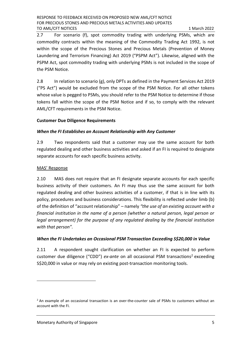2.7 For scenario (f), spot commodity trading with underlying PSMs, which are commodity contracts within the meaning of the Commodity Trading Act 1992, is not within the scope of the Precious Stones and Precious Metals (Prevention of Money Laundering and Terrorism Financing) Act 2019 ("PSPM Act"). Likewise, aligned with the PSPM Act, spot commodity trading with underlying PSMs is not included in the scope of the PSM Notice.

2.8 In relation to scenario (g), only DPTs as defined in the Payment Services Act 2019 ("PS Act") would be excluded from the scope of the PSM Notice. For all other tokens whose value is pegged to PSMs, you should refer to the PSM Notice to determine if those tokens fall within the scope of the PSM Notice and if so, to comply with the relevant AML/CFT requirements in the PSM Notice.

#### **Customer Due Diligence Requirements**

#### *When the FI Establishes an Account Relationship with Any Customer*

2.9 Two respondents said that a customer may use the same account for both regulated dealing and other business activities and asked if an FI is required to designate separate accounts for each specific business activity.

#### MAS' Response

2.10 MAS does not require that an FI designate separate accounts for each specific business activity of their customers. An FI may thus use the same account for both regulated dealing and other business activities of a customer, if that is in line with its policy, procedures and business considerations. This flexibility is reflected under limb (b) of the definition of "account relationship" – namely *"the use of an existing account with a financial institution in the name of a person (whether a natural person, legal person or legal arrangement) for the purpose of any regulated dealing by the financial institution with that person".*

#### *When the FI Undertakes an Occasional PSM Transaction Exceeding S\$20,000 in Value*

2.11 A respondent sought clarification on whether an FI is expected to perform customer due diligence ("CDD") *ex-ante* on all occasional PSM transactions<sup>2</sup> exceeding S\$20,000 in value or may rely on existing post-transaction monitoring tools.

 $<sup>2</sup>$  An example of an occasional transaction is an over-the-counter sale of PSMs to customers without an</sup> account with the FI.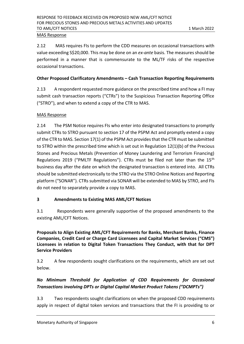#### MAS Response

2.12 MAS requires FIs to perform the CDD measures on occasional transactions with value exceeding S\$20,000. This may be done on an *ex-ante* basis. The measures should be performed in a manner that is commensurate to the ML/TF risks of the respective occasional transactions.

#### **Other Proposed Clarificatory Amendments – Cash Transaction Reporting Requirements**

2.13 A respondent requested more guidance on the prescribed time and how a FI may submit cash transaction reports ("CTRs") to the Suspicious Transaction Reporting Office ("STRO"), and when to extend a copy of the CTR to MAS.

#### MAS Response

2.14 The PSM Notice requires FIs who enter into designated transactions to promptly submit CTRs to STRO pursuant to section 17 of the PSPM Act and promptly extend a copy of the CTR to MAS. Section 17(1) of the PSPM Act provides that the CTR must be submitted to STRO within the prescribed time which is set out in Regulation 12(1)(b) of the Precious Stones and Precious Metals (Prevention of Money Laundering and Terrorism Financing) Regulations 2019 ("PMLTF Regulations"). CTRs must be filed not later than the 15<sup>th</sup> business day after the date on which the designated transaction is entered into. All CTRs should be submitted electronically to the STRO via the STRO Online Notices and Reporting platform ("SONAR"). CTRs submitted via SONAR will be extended to MAS by STRO, and FIs do not need to separately provide a copy to MAS.

#### <span id="page-5-0"></span>**3 Amendments to Existing MAS AML/CFT Notices**

3.1 Respondents were generally supportive of the proposed amendments to the existing AML/CFT Notices.

**Proposals to Align Existing AML/CFT Requirements for Banks, Merchant Banks, Finance Companies, Credit Card or Charge Card Licensees and Capital Market Services ("CMS") Licensees in relation to Digital Token Transactions They Conduct, with that for DPT Service Providers**

3.2 A few respondents sought clarifications on the requirements, which are set out below.

# *No Minimum Threshold for Application of CDD Requirements for Occasional Transactions involving DPTs or Digital Capital Market Product Tokens ("DCMPTs")*

3.3 Two respondents sought clarifications on when the proposed CDD requirements apply in respect of digital token services and transactions that the FI is providing to or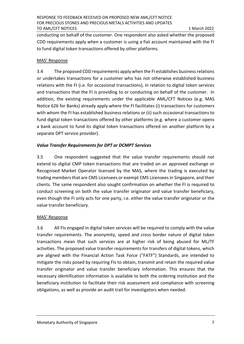conducting on behalf of the customer. One respondent also asked whether the proposed CDD requirements apply when a customer is using a fiat account maintained with the FI to fund digital token transactions offered by other platforms.

#### MAS' Response

3.4 The proposed CDD requirements apply when the FI establishes business relations or undertakes transactions for a customer who has not otherwise established business relations with the FI (i.e. for occasional transactions), in relation to digital token services and transactions that the FI is providing to or conducting on behalf of the customer. In addition, the existing requirements under the applicable AML/CFT Notices (e.g. MAS Notice 626 for Banks) already apply where the FI facilitates (i) transactions for customers with whom the FI has established business relations or (ii) such occasional transactions to fund digital token transactions offered by other platforms (e.g. where a customer opens a bank account to fund its digital token transactions offered on another platform by a separate DPT service provider).

#### *Value Transfer Requirements for DPT or DCMPT Services*

3.5 One respondent suggested that the value transfer requirements should not extend to digital CMP token transactions that are traded on an approved exchange or Recognised Market Operator licensed by the MAS, where the trading is executed by trading members that are CMS Licensees or exempt CMS Licensees in Singapore, and their clients. The same respondent also sought confirmation on whether the FI is required to conduct screening on both the value transfer originator and value transfer beneficiary, even though the FI only acts for one party, i.e. either the value transfer originator or the value transfer beneficiary.

#### MAS' Response

3.6 All FIs engaged in digital token services will be required to comply with the value transfer requirements. The anonymity, speed and cross border nature of digital token transactions mean that such services are at higher risk of being abused for ML/TF activities. The proposed value transfer requirements for transfers of digital tokens, which are aligned with the Financial Action Task Force ("FATF") Standards, are intended to mitigate the risks posed by requiring FIs to obtain, transmit and retain the required value transfer originator and value transfer beneficiary information. This ensures that the necessary identification information is available to both the ordering institution and the beneficiary institution to facilitate their risk assessment and compliance with screening obligations, as well as provide an audit trail for investigators when needed.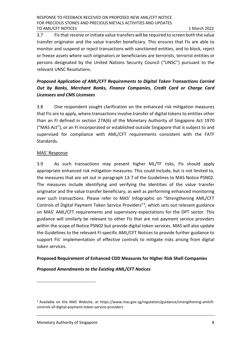3.7 FIsthat receive or initiate value transfers will be required to screen both the value transfer originator and the value transfer beneficiary. This ensures that FIs are able to monitor and suspend or reject transactions with sanctioned entities, and to block, reject or freeze assets where such originators or beneficiaries are terrorists, terrorist entities or persons designated by the United Nations Security Council ("UNSC") pursuant to the relevant UNSC Resolutions.

# *Proposed Application of AML/CFT Requirements to Digital Token Transactions Carried Out by Banks, Merchant Banks, Finance Companies, Credit Card or Charge Card Licensees and CMS Licensees*

3.8 One respondent sought clarification on the enhanced risk mitigation measures that FIs are to apply, where transactions involve transfer of digital tokens to entities other than an FI defined in section 27A(6) of the Monetary Authority of Singapore Act 1970 ("MAS Act"), or an FI incorporated or established outside Singapore that is subject to and supervised for compliance with AML/CFT requirements consistent with the FATF Standards.

#### MAS' Response

3.9 As such transactions may present higher ML/TF risks, FIs should apply appropriate enhanced risk mitigation measures. This could include, but is not limited to, the measures that are set out in paragraph 13-7 of the Guidelines to MAS Notice PSN02. The measures include identifying and verifying the identities of the value transfer originator and the value transfer beneficiary, as well as performing enhanced monitoring over such transactions. Please refer to MAS' Infographic on "Strengthening AML/CFT Controls of Digital Payment Token Service Providers"<sup>3</sup>, which sets out relevant guidance on MAS' AML/CFT requirements and supervisory expectations for the DPT sector. This guidance will similarly be relevant to other FIs that are not payment service providers within the scope of Notice PSN02 but provide digital token services. MAS will also update the Guidelines to the relevant FI-specific AML/CFT Notices to provide further guidance to support FIs' implementation of effective controls to mitigate risks arising from digital token services.

#### **Proposed Requirement of Enhanced CDD Measures for Higher Risk Shell Companies**

#### *Proposed Amendments to the Existing AML/CFT Notices*

<sup>&</sup>lt;sup>3</sup> Available on the MAS Website, at https://www.mas.gov.sg/regulation/guidance/strengthening-amlcftcontrols-of-digital-payment-token-service-providers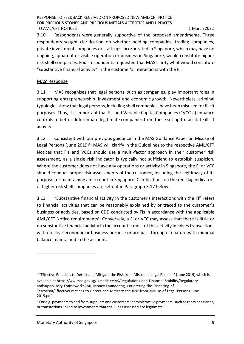3.10 Respondents were generally supportive of the proposed amendments. Three respondents sought clarification on whether holding companies, trading companies, private investment companies or start-ups incorporated in Singapore, which may have no ongoing, apparent or visible operation or business in Singapore, would constitute higher risk shell companies. Four respondents requested that MAS clarify what would constitute "substantive financial activity" in the customer's interactions with the FI.

#### MAS' Response

3.11 MAS recognises that legal persons, such as companies, play important roles in supporting entrepreneurship, investment and economic growth. Nevertheless, criminal typologies show that legal persons, including shell companies, have been misused for illicit purposes. Thus, it is important that FIs and Variable Capital Companies ("VCCs") enhance controls to better differentiate legitimate companies from those set up to facilitate illicit activity.

3.12 Consistent with our previous guidance in the MAS Guidance Paper on Misuse of Legal Persons (June 2019)<sup>4</sup>, MAS will clarify in the Guidelines to the respective AML/CFT Notices that FIs and VCCs should use a multi-factor approach in their customer risk assessment, as a single risk indicator is typically not sufficient to establish suspicion. Where the customer does not have any operations or activity in Singapore, the FI or VCC should conduct proper risk assessments of the customer, including the legitimacy of its purpose for maintaining an account in Singapore. Clarifications on the red-flag indicators of higher risk shell companies are set out in Paragraph 3.17 below.

3.13 "Substantive financial activity in the customer's interactions with the FI" refers to financial activities that can be reasonably explained by or traced to the customer's business or activities, based on CDD conducted by FIs in accordance with the applicable AML/CFT Notice requirements<sup>5</sup>. Conversely, a FI or VCC may assess that there is little or no substantive financial activity in the account if most of this activity involves transactions with no clear economic or business purpose or are pass-through in nature with minimal balance maintained in the account.

<sup>4</sup> "Effective Practices to Detect and Mitigate the Risk from Misuse of Legal Persons" (June 2019) which is available at https://ww.mas.gov.sg/-/media/MAS/Regulations-and-Financial-Stability/RegulatoryandSupervisory-Framework/Anti\_Money-Laundering\_Countering-the-Financing-of-Terrorism/EffectivePractices-to-Detect-and-Mitigate-the-Risk-from-Misuse-of-Legal-Persons-June-2019.pdf

<sup>&</sup>lt;sup>5</sup> For e.g. payments to and from suppliers and customers; administrative payments, such as rents or salaries; or transactions linked to investments that the FI has assessed are legitimate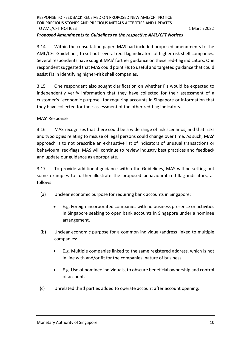#### *Proposed Amendments to Guidelines to the respective AML/CFT Notices*

3.14 Within the consultation paper, MAS had included proposed amendments to the AML/CFT Guidelines, to set out several red-flag indicators of higher risk shell companies. Several respondents have sought MAS' further guidance on these red-flag indicators. One respondent suggested that MAS could point FIs to useful and targeted guidance that could assist FIs in identifying higher-risk shell companies.

3.15 One respondent also sought clarification on whether FIs would be expected to independently verify information that they have collected for their assessment of a customer's "economic purpose" for requiring accounts in Singapore or information that they have collected for their assessment of the other red-flag indicators.

#### MAS' Response

3.16 MAS recognises that there could be a wide range of risk scenarios, and that risks and typologies relating to misuse of legal persons could change over time. As such, MAS' approach is to not prescribe an exhaustive list of indicators of unusual transactions or behavioural red-flags. MAS will continue to review industry best practices and feedback and update our guidance as appropriate.

3.17 To provide additional guidance within the Guidelines, MAS will be setting out some examples to further illustrate the proposed behavioural red-flag indicators, as follows:

- (a) Unclear economic purpose for requiring bank accounts in Singapore:
	- E.g. Foreign-incorporated companies with no business presence or activities in Singapore seeking to open bank accounts in Singapore under a nominee arrangement.
- (b) Unclear economic purpose for a common individual/address linked to multiple companies:
	- E.g. Multiple companies linked to the same registered address, which is not in line with and/or fit for the companies' nature of business.
	- E.g. Use of nominee individuals, to obscure beneficial ownership and control of account.
- (c) Unrelated third parties added to operate account after account opening: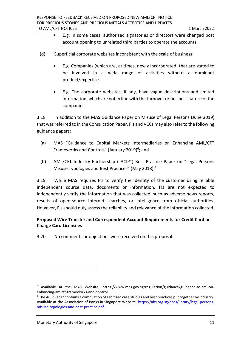- E.g. In some cases, authorised signatories or directors were changed post account opening to unrelated third parties to operate the accounts.
- (d) Superficial corporate websites inconsistent with the scale of business:
	- E.g. Companies (which are, at times, newly incorporated) that are stated to be involved in a wide range of activities without a dominant product/expertise.
	- E.g. The corporate websites, if any, have vague descriptions and limited information, which are not in line with the turnover or business nature of the companies.

3.18 In addition to the MAS Guidance Paper on Misuse of Legal Persons (June 2019) that was referred to in the Consultation Paper, FIs and VCCs may also referto the following guidance papers:

- (a) MAS "Guidance to Capital Markets Intermediaries on Enhancing AML/CFT Frameworks and Controls" (January 2019)<sup>6</sup>; and
- (b) AML/CFT Industry Partnership ("ACIP") Best Practice Paper on "Legal Persons Misuse Typologies and Best Practices" (May 2018).<sup>7</sup>

3.19 While MAS requires FIs to verify the identity of the customer using reliable independent source data, documents or information, FIs are not expected to independently verify the information that was collected, such as adverse news reports, results of open-source Internet searches, or intelligence from official authorities. However, FIs should duly assess the reliability and relevance of the information collected.

# **Proposed Wire Transfer and Correspondent Account Requirements for Credit Card or Charge Card Licensees**

3.20 No comments or objections were received on this proposal.

<sup>6</sup> Available at the MAS Website, https://www.mas.gov.sg/regulation/guidance/guidance-to-cmi-onenhancing-amlcft-frameworks-and-control

 $^7$  The ACIP Paper contains a compilation of sanitised case studies and best practices put together by industry. Available at the Association of Banks in Singapore Website, [https://abs.org.sg/docs/library/legal-persons](https://abs.org.sg/docs/library/legal-persons-misuse-typologies-and-best-practice.pdf)[misuse-typologies-and-best-practice.pdf](https://abs.org.sg/docs/library/legal-persons-misuse-typologies-and-best-practice.pdf)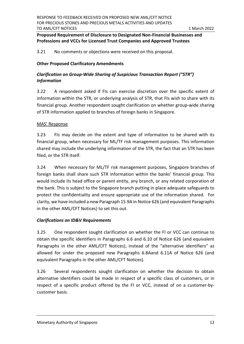## **Proposed Requirement of Disclosure to Designated Non-Financial Businesses and Professions and VCCs for Licensed Trust Companies and Approved Trustees**

#### 3.21 No comments or objections were received on this proposal.

#### **Other Proposed Clarificatory Amendments**

### *Clarification on Group-Wide Sharing of Suspicious Transaction Report ("STR") Information*

3.22 A respondent asked if FIs can exercise discretion over the specific extent of information within the STR, or underlying analysis of STR, that FIs wish to share with its financial group. Another respondent sought clarification on whether group-wide sharing of STR information applied to branches of foreign banks in Singapore.

#### MAS' Response

3.23 FIs may decide on the extent and type of information to be shared with its financial group, when necessary for ML/TF risk management purposes. This information shared may include the underlying information of the STR, the fact that an STR has been filed, or the STR itself.

3.24 When necessary for ML/TF risk management purposes, Singapore branches of foreign banks shall share such STR information within the banks' financial group. This would include its head office or parent entity, any branch, or any related corporation of the bank. This is subject to the Singapore branch putting in place adequate safeguards to protect the confidentiality and ensure appropriate use of the information shared. For clarity, we have included a new Paragraph 15.9A in Notice 626 (and equivalent Paragraphs in the other AML/CFT Notices) to set this out.

#### *Clarifications on ID&V Requirements*

3.25 One respondent sought clarification on whether the FI or VCC can continue to obtain the specific identifiers in Paragraphs 6.6 and 6.10 of Notice 626 (and equivalent Paragraphs in the other AML/CFT Notices), instead of the "alternative identifiers" as allowed for under the proposed new Paragraphs 6.8Aand 6.11A of Notice 626 (and equivalent Paragraphs in the other AML/CFT Notices).

3.26 Several respondents sought clarification on whether the decision to obtain alternative identifiers could be made in respect of a specific class of customers, or in respect of a specific product offered by the FI or VCC, instead of on a customer-bycustomer basis.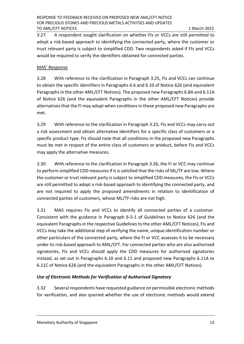3.27 A respondent sought clarification on whether FIs or VCCs are still permitted to adopt a risk-based approach to identifying the connected party, where the customer or trust relevant party is subject to simplified CDD. Two respondents asked if FIs and VCCs would be required to verify the identifiers obtained for connected parties.

#### MAS' Response

3.28 With reference to the clarification in Paragraph 3.25, FIs and VCCs can continue to obtain the specific identifiers in Paragraphs 6.6 and 6.10 of Notice 626 (and equivalent Paragraphs in the other AML/CFT Notices). The proposed new Paragraphs 6.8A and 6.11A of Notice 626 (and the equivalent Paragraphs in the other AML/CFT Notices) provide alternatives that the FI may adopt when conditions in these proposed new Paragraphs are met.

3.29 With reference to the clarification in Paragraph 3.25, FIs and VCCs may carry out a risk assessment and obtain alternative identifiers for a specific class of customers or a specific product type. FIs should note that all conditions in the proposed new Paragraphs must be met in respect of the entire class of customers or product, before FIs and VCCs may apply the alternative measures.

3.30 With reference to the clarification in Paragraph 3.26, the FI or VCC may continue to perform simplified CDD measures if it is satisfied that the risks of ML/TF are low. Where the customer or trust relevant party is subject to simplified CDD measures, the FIs or VCCs are still permitted to adopt a risk-based approach to identifying the connected party, and are not required to apply the proposed amendments in relation to identification of connected parties of customers, whose ML/TF risks are not high.

3.31 MAS requires FIs and VCCs to identify all connected parties of a customer. Consistent with the guidance in Paragraph 6-5-1 of Guidelines to Notice 626 (and the equivalent Paragraphs in the respective Guidelines to the other AML/CFT Notices), FIs and VCCs may take the additional step of verifying the name, unique identification number or other particulars of the connected party, where the FI or VCC assesses it to be necessary under its risk-based approach to AML/CFT. For connected parties who are also authorised signatories, FIs and VCCs should apply the CDD measures for authorised signatories instead, as set out in Paragraphs 6.10 and 6.11 and proposed new Paragraphs 6.11A to 6.11C of Notice 626 (and the equivalent Paragraphs in the other AML/CFT Notices).

#### *Use of Electronic Methods for Verification of Authorised Signatory*

3.32 Several respondents have requested guidance on permissible electronic methods for verification, and also queried whether the use of electronic methods would extend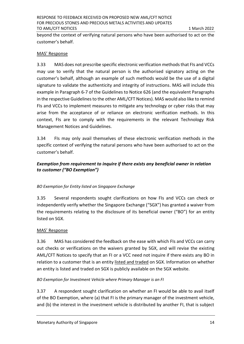beyond the context of verifying natural persons who have been authorised to act on the customer's behalf.

#### MAS' Response

3.33 MAS does not prescribe specific electronic verification methods that FIs and VCCs may use to verify that the natural person is the authorised signatory acting on the customer's behalf, although an example of such methods would be the use of a digital signature to validate the authenticity and integrity of instructions. MAS will include this example in Paragraph 6-7 of the Guidelines to Notice 626 (and the equivalent Paragraphs in the respective Guidelines to the other AML/CFT Notices). MAS would also like to remind FIs and VCCs to implement measures to mitigate any technology or cyber risks that may arise from the acceptance of or reliance on electronic verification methods. In this context, FIs are to comply with the requirements in the relevant Technology Risk Management Notices and Guidelines.

3.34 FIs may only avail themselves of these electronic verification methods in the specific context of verifying the natural persons who have been authorised to act on the customer's behalf.

# *Exemption from requirement to inquire if there exists any beneficial owner in relation to customer ("BO Exemption")*

#### *BO Exemption for Entity listed on Singapore Exchange*

3.35 Several respondents sought clarifications on how FIs and VCCs can check or independently verify whether the Singapore Exchange ("SGX") has granted a waiver from the requirements relating to the disclosure of its beneficial owner ("BO") for an entity listed on SGX.

#### MAS' Response

3.36 MAS has considered the feedback on the ease with which FIs and VCCs can carry out checks or verifications on the waivers granted by SGX, and will revise the existing AML/CFT Notices to specify that an FI or a VCC need not inquire if there exists any BO in relation to a customer that is an entity listed and traded on SGX. Information on whether an entity is listed and traded on SGX is publicly available on the SGX website.

#### *BO Exemption for Investment Vehicle where Primary Manager is an FI*

3.37 A respondent sought clarification on whether an FI would be able to avail itself of the BO Exemption, where (a) that FI is the primary manager of the investment vehicle, and (b) the interest in the investment vehicle is distributed by another FI, that is subject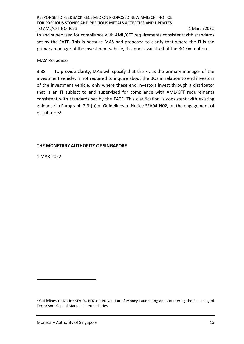to and supervised for compliance with AML/CFT requirements consistent with standards set by the FATF. This is because MAS had proposed to clarify that where the FI is the primary manager of the investment vehicle, it cannot avail itself of the BO Exemption.

#### MAS' Response

3.38 To provide clarity, MAS will specify that the FI, as the primary manager of the investment vehicle, is not required to inquire about the BOs in relation to end investors of the investment vehicle, only where these end investors invest through a distributor that is an FI subject to and supervised for compliance with AML/CFT requirements consistent with standards set by the FATF. This clarification is consistent with existing guidance in Paragraph 2-3-(b) of Guidelines to Notice SFA04-N02, on the engagement of distributors<sup>8</sup>.

#### **THE MONETARY AUTHORITY OF SINGAPORE**

1 MAR 2022

<sup>8</sup> Guidelines to Notice SFA 04-N02 on Prevention of Money Laundering and Countering the Financing of Terrorism - Capital Markets Intermediaries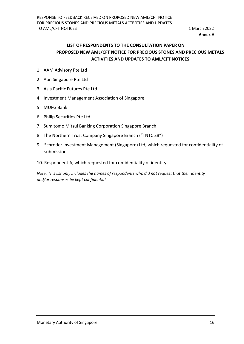**Annex A**

# **LIST OF RESPONDENTS TO THE CONSULTATION PAPER ON PROPOSED NEW AML/CFT NOTICE FOR PRECIOUS STONES AND PRECIOUS METALS ACTIVITIES AND UPDATES TO AML/CFT NOTICES**

- 1. AAM Advisory Pte Ltd
- 2. Aon Singapore Pte Ltd
- 3. Asia Pacific Futures Pte Ltd
- 4. Investment Management Association of Singapore
- 5. MUFG Bank
- 6. Philip Securities Pte Ltd
- 7. Sumitomo Mitsui Banking Corporation Singapore Branch
- 8. The Northern Trust Company Singapore Branch ("TNTC SB")
- 9. Schroder Investment Management (Singapore) Ltd, which requested for confidentiality of submission
- 10. Respondent A, which requested for confidentiality of identity

*Note: This list only includes the names of respondents who did not request that their identity and/or responses be kept confidential*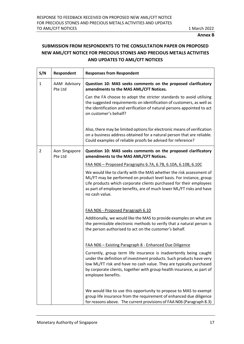# **SUBMISSION FROM RESPONDENTS TO THE CONSULTATION PAPER ON PROPOSED NEW AML/CFT NOTICE FOR PRECIOUS STONES AND PRECIOUS METALS ACTIVITIES AND UPDATES TO AML/CFT NOTICES**

| S/N | Respondent               | <b>Responses from Respondent</b>                                                                                                                                                                                                                                                                                  |  |
|-----|--------------------------|-------------------------------------------------------------------------------------------------------------------------------------------------------------------------------------------------------------------------------------------------------------------------------------------------------------------|--|
| 1   | AAM Advisory<br>Pte Ltd  | Question 10: MAS seeks comments on the proposed clarificatory<br>amendments to the MAS AML/CFT Notices.                                                                                                                                                                                                           |  |
|     |                          | Can the FA choose to adopt the stricter standards to avoid utilising<br>the suggested requirements on identification of customers, as well as<br>the identification and verification of natural persons appointed to act<br>on customer's behalf?                                                                 |  |
|     |                          | Also, there may be limited options for electronic means of verification<br>on a business address obtained for a natural person that are reliable.<br>Could examples of reliable proofs be advised for reference?                                                                                                  |  |
| 2   | Aon Singapore<br>Pte Ltd | Question 10: MAS seeks comments on the proposed clarificatory<br>amendments to the MAS AML/CFT Notices.                                                                                                                                                                                                           |  |
|     |                          | FAA N06 - Proposed Paragraphs 6.7A, 6.7B, 6.10A, 6.10B, 6.10C                                                                                                                                                                                                                                                     |  |
|     |                          | We would like to clarify with the MAS whether the risk assessment of<br>ML/FT may be performed on product level basis. For instance, group<br>Life products which corporate clients purchased for their employees<br>as part of employee benefits, are of much lower ML/FT risks and have<br>no cash value.       |  |
|     |                          | FAA NO6 - Proposed Paragraph 6.10                                                                                                                                                                                                                                                                                 |  |
|     |                          | Additionally, we would like the MAS to provide examples on what are<br>the permissible electronic methods to verify that a natural person is<br>the person authorised to act on the customer's behalf.                                                                                                            |  |
|     |                          | FAA NO6 - Existing Paragraph 8 - Enhanced Due Diligence                                                                                                                                                                                                                                                           |  |
|     |                          | Currently, group term life insurance is inadvertently being caught<br>under the definition of investment products. Such products have very<br>low ML/FT risk and have no cash value. They are typically purchased<br>by corporate clients, together with group health insurance, as part of<br>employee benefits. |  |
|     |                          | We would like to use this opportunity to propose to MAS to exempt<br>group life insurance from the requirement of enhanced due diligence<br>for reasons above. The current provisions of FAA N06 (Paragraph 8.3)                                                                                                  |  |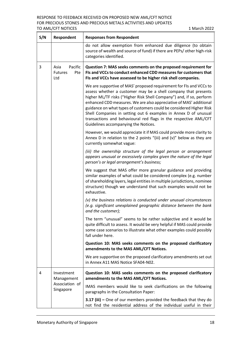#### RESPONSE TO FEEDBACK RECEIVED ON PROPOSED NEW AML/CFT NOTICE FOR PRECIOUS STONES AND PRECIOUS METALS ACTIVITIES AND UPDATES TO AML/CFT NOTICES **1 March 2022**

| S/N | <b>Respondent</b>                               | <b>Responses from Respondent</b>                                                                                                                                                                                                                                                                                                                                                                                                                                                                                                         |  |  |
|-----|-------------------------------------------------|------------------------------------------------------------------------------------------------------------------------------------------------------------------------------------------------------------------------------------------------------------------------------------------------------------------------------------------------------------------------------------------------------------------------------------------------------------------------------------------------------------------------------------------|--|--|
|     |                                                 | do not allow exemption from enhanced due diligence (to obtain<br>source of wealth and source of fund) if there are PEPs/ other high-risk<br>categories identified.                                                                                                                                                                                                                                                                                                                                                                       |  |  |
| 3   | Pacific<br>Asia<br><b>Futures</b><br>Pte<br>Ltd | Question 7: MAS seeks comments on the proposed requirement for<br>FIs and VCCs to conduct enhanced CDD measures for customers that<br>FIs and VCCs have assessed to be higher risk shell companies.                                                                                                                                                                                                                                                                                                                                      |  |  |
|     |                                                 | We are supportive of MAS' proposed requirement for FIs and VCCs to<br>assess whether a customer may be a shell company that presents<br>higher ML/TF risks ("Higher Risk Shell Company") and, if so, perform<br>enhanced CDD measures. We are also appreciative of MAS' additional<br>guidance on what types of customers could be considered Higher Risk<br>Shell Companies in setting out 6 examples in Annex D of unusual<br>transactions and behavioural red flags in the respective AML/CFT<br>Guidelines accompanying the Notices. |  |  |
|     |                                                 | However, we would appreciate it if MAS could provide more clarity to<br>Annex D in relation to the 2 points "(iii) and (v)" below as they are<br>currently somewhat vague:                                                                                                                                                                                                                                                                                                                                                               |  |  |
|     |                                                 | (iii) the ownership structure of the legal person or arrangement<br>appears unusual or excessively complex given the nature of the legal<br>person's or legal arrangement's business;                                                                                                                                                                                                                                                                                                                                                    |  |  |
|     |                                                 | We suggest that MAS offer more granular guidance and providing<br>similar examples of what could be considered complex (e.g. number<br>of shareholding layers, legal entities in multiple jurisdictions, nominee<br>structure) though we understand that such examples would not be<br>exhaustive.                                                                                                                                                                                                                                       |  |  |
|     |                                                 | (v) the business relations is conducted under unusual circumstances<br>(e.g. significant unexplained geographic distance between the bank<br>and the customer);                                                                                                                                                                                                                                                                                                                                                                          |  |  |
|     |                                                 | The term "unusual" seems to be rather subjective and it would be<br>quite difficult to assess. It would be very helpful if MAS could provide<br>some case scenarios to illustrate what other examples could possibly<br>fall under here.                                                                                                                                                                                                                                                                                                 |  |  |
|     |                                                 | Question 10: MAS seeks comments on the proposed clarificatory<br>amendments to the MAS AML/CFT Notices.                                                                                                                                                                                                                                                                                                                                                                                                                                  |  |  |
|     |                                                 | We are supportive on the proposed clarificatory amendments set out<br>in Annex A11 MAS Notice SFA04-N02.                                                                                                                                                                                                                                                                                                                                                                                                                                 |  |  |
| 4   | Investment<br>Management                        | Question 10: MAS seeks comments on the proposed clarificatory<br>amendments to the MAS AML/CFT Notices.                                                                                                                                                                                                                                                                                                                                                                                                                                  |  |  |
|     | Association of<br>Singapore                     | IMAS members would like to seek clarifications on the following<br>paragraphs in the Consultation Paper:                                                                                                                                                                                                                                                                                                                                                                                                                                 |  |  |
|     |                                                 | 3.17 (iii) - One of our members provided the feedback that they do<br>not find the residential address of the individual useful in their                                                                                                                                                                                                                                                                                                                                                                                                 |  |  |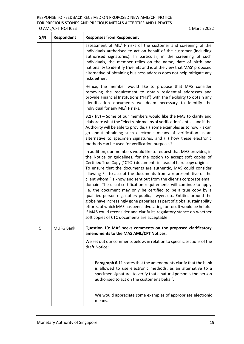| S/N | Respondent       | <b>Responses from Respondent</b>                                                                                                                                                                                                                                                                                                                                                                                                                                                                                                                                                                                                                                                                                                                                                                                                                                                                                                |  |  |
|-----|------------------|---------------------------------------------------------------------------------------------------------------------------------------------------------------------------------------------------------------------------------------------------------------------------------------------------------------------------------------------------------------------------------------------------------------------------------------------------------------------------------------------------------------------------------------------------------------------------------------------------------------------------------------------------------------------------------------------------------------------------------------------------------------------------------------------------------------------------------------------------------------------------------------------------------------------------------|--|--|
|     |                  | assessment of ML/TF risks of the customer and screening of the<br>individuals authorised to act on behalf of the customer (including<br>authorised signatories). In particular, in the screening of such<br>individuals, the member relies on the name, date of birth and<br>nationality to identify true hits and is of the view that MAS' proposed<br>alternative of obtaining business address does not help mitigate any<br>risks either.                                                                                                                                                                                                                                                                                                                                                                                                                                                                                   |  |  |
|     |                  | Hence, the member would like to propose that MAS consider<br>removing the requirement to obtain residential addresses and<br>provide Financial Institutions ("FIs") with the flexibility to obtain any<br>identification documents we deem necessary to identify the<br>individual for any ML/TF risks.                                                                                                                                                                                                                                                                                                                                                                                                                                                                                                                                                                                                                         |  |  |
|     |                  | 3.17 (iv) - Some of our members would like the MAS to clarify and<br>elaborate what the "electronic means of verification" entail, and if the<br>Authority will be able to provide: (i) some examples as to how FIs can<br>go about obtaining such electronic means of verification as an<br>alternative to specimen signatures, and (ii) how these electronic<br>methods can be used for verification purposes?                                                                                                                                                                                                                                                                                                                                                                                                                                                                                                                |  |  |
|     |                  | In addition, our members would like to request that MAS provides, in<br>the Notice or guidelines, for the option to accept soft copies of<br>Certified True Copy ("CTC") documents instead of hard copy originals.<br>To ensure that the documents are authentic, MAS could consider<br>allowing FIs to accept the documents from a representative of the<br>client whom FIs know and sent out from the client's corporate email<br>domain. The usual certification requirements will continue to apply<br>i.e. the document may only be certified to be a true copy by a<br>qualified person e.g. notary public, lawyer, etc. Entities around the<br>globe have increasingly gone paperless as part of global sustainability<br>efforts, of which MAS has been advocating for too. It would be helpful<br>if MAS could reconsider and clarify its regulatory stance on whether<br>soft copies of CTC documents are acceptable. |  |  |
| 5   | <b>MUFG Bank</b> | Question 10: MAS seeks comments on the proposed clarificatory<br>amendments to the MAS AML/CFT Notices.                                                                                                                                                                                                                                                                                                                                                                                                                                                                                                                                                                                                                                                                                                                                                                                                                         |  |  |
|     |                  | We set out our comments below, in relation to specific sections of the<br>draft Notice:                                                                                                                                                                                                                                                                                                                                                                                                                                                                                                                                                                                                                                                                                                                                                                                                                                         |  |  |
|     |                  | Paragraph 6.11 states that the amendments clarify that the bank<br>İ.<br>is allowed to use electronic methods, as an alternative to a<br>specimen signature, to verify that a natural person is the person<br>authorised to act on the customer's behalf.                                                                                                                                                                                                                                                                                                                                                                                                                                                                                                                                                                                                                                                                       |  |  |
|     |                  | We would appreciate some examples of appropriate electronic<br>means.                                                                                                                                                                                                                                                                                                                                                                                                                                                                                                                                                                                                                                                                                                                                                                                                                                                           |  |  |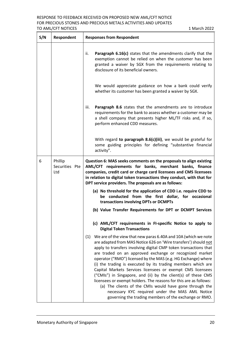| S/N | Respondent                       | <b>Responses from Respondent</b>                                                                                                                                                                                                                                                                                                                                                                                                                                                                                                                                                                                                                                                                                                                                                 |  |  |
|-----|----------------------------------|----------------------------------------------------------------------------------------------------------------------------------------------------------------------------------------------------------------------------------------------------------------------------------------------------------------------------------------------------------------------------------------------------------------------------------------------------------------------------------------------------------------------------------------------------------------------------------------------------------------------------------------------------------------------------------------------------------------------------------------------------------------------------------|--|--|
|     |                                  | Paragraph 6.16(c) states that the amendments clarify that the<br>ii.<br>exemption cannot be relied on when the customer has been<br>granted a waiver by SGX from the requirements relating to<br>disclosure of its beneficial owners.                                                                                                                                                                                                                                                                                                                                                                                                                                                                                                                                            |  |  |
|     |                                  | We would appreciate guidance on how a bank could verify<br>whether its customer has been granted a waiver by SGX.                                                                                                                                                                                                                                                                                                                                                                                                                                                                                                                                                                                                                                                                |  |  |
|     |                                  | Paragraph 8.6 states that the amendments are to introduce<br>iii.<br>requirements for the bank to assess whether a customer may be<br>a shell company that presents higher ML/TF risks and, if so,<br>perform enhanced CDD measures.                                                                                                                                                                                                                                                                                                                                                                                                                                                                                                                                             |  |  |
|     |                                  | With regard to paragraph 8.6(c)(iii), we would be grateful for<br>some guiding principles for defining "substantive financial<br>activity".                                                                                                                                                                                                                                                                                                                                                                                                                                                                                                                                                                                                                                      |  |  |
| 6   | Phillip<br>Securities Pte<br>Ltd | Question 6: MAS seeks comments on the proposals to align existing<br>AML/CFT requirements for banks, merchant banks, finance<br>companies, credit card or charge card licensees and CMS licensees<br>in relation to digital token transactions they conduct, with that for<br>DPT service providers. The proposals are as follows:                                                                                                                                                                                                                                                                                                                                                                                                                                               |  |  |
|     |                                  | (a) No threshold for the application of CDD i.e. require CDD to<br>be conducted from the first dollar, for occasional<br>transactions involving DPTs or DCMPTs                                                                                                                                                                                                                                                                                                                                                                                                                                                                                                                                                                                                                   |  |  |
|     |                                  | (b) Value Transfer Requirements for DPT or DCMPT Services                                                                                                                                                                                                                                                                                                                                                                                                                                                                                                                                                                                                                                                                                                                        |  |  |
|     |                                  | (c) AML/CFT requirements in FI-specific Notice to apply to<br><b>Digital Token Transactions</b>                                                                                                                                                                                                                                                                                                                                                                                                                                                                                                                                                                                                                                                                                  |  |  |
|     |                                  | (1) We are of the view that new paras 6.40A and 10A (which we note<br>are adapted from MAS Notice 626 on 'Wire transfers') should not<br>apply to transfers involving digital CMP token transactions that<br>are traded on an approved exchange or recognized market<br>operator ("RMO") licensed by the MAS (e.g. HG Exchange) where<br>(i) the trading is executed by its trading members which are<br>Capital Markets Services licensees or exempt CMS licensees<br>("CMIs") in Singapore, and (ii) by the client(s) of these CMS<br>licensees or exempt holders. The reasons for this are as follows:<br>(a) The clients of the CMIs would have gone through the<br>necessary KYC required under the MAS AML Notice<br>governing the trading members of the exchange or RMO. |  |  |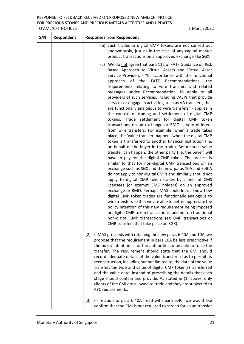| S/N | Respondent | <b>Responses from Respondent</b>                                                                                                                                                                                                                                                                                                                                                                                                                                                                                                                                                                                                                                                                                                                                                                                                                                                                                                                                                                                                                                                                                                                                                                                                                                                                                                                                                                                                                                                                                                                                                                                                                                                                                                                                         |  |  |
|-----|------------|--------------------------------------------------------------------------------------------------------------------------------------------------------------------------------------------------------------------------------------------------------------------------------------------------------------------------------------------------------------------------------------------------------------------------------------------------------------------------------------------------------------------------------------------------------------------------------------------------------------------------------------------------------------------------------------------------------------------------------------------------------------------------------------------------------------------------------------------------------------------------------------------------------------------------------------------------------------------------------------------------------------------------------------------------------------------------------------------------------------------------------------------------------------------------------------------------------------------------------------------------------------------------------------------------------------------------------------------------------------------------------------------------------------------------------------------------------------------------------------------------------------------------------------------------------------------------------------------------------------------------------------------------------------------------------------------------------------------------------------------------------------------------|--|--|
|     |            | (b) Such trades in digital CMP tokens are not carried out<br>anonymously, just as in the case of any capital market<br>product transactions on an approved exchange like SGX.                                                                                                                                                                                                                                                                                                                                                                                                                                                                                                                                                                                                                                                                                                                                                                                                                                                                                                                                                                                                                                                                                                                                                                                                                                                                                                                                                                                                                                                                                                                                                                                            |  |  |
|     |            | (c) We do not agree that para 112 of FATF Guidance on Risk<br>Based Approach to Virtual Assets and Virtual Asset<br>Service Providers - "In accordance with the functional<br>of the FATF Recommendations,<br>approach<br>the<br>requirements relating to wire transfers and related<br>messages under Recommendation 16 apply to all<br>providers of such services, including VASPs that provide<br>services or engage in activities, such as VA transfers, that<br>are functionally analogous to wire transfers" - applies in<br>the context of trading and settlement of digital CMP<br>tokens. Trade settlement for digital CMP token<br>transactions on an exchange or RMO is very different<br>from wire transfers. For example, when a trade takes<br>place, the 'value transfer' happens when the digital CMP<br>token is transferred to another financial institution (i.e.<br>on behalf of the buyer in the trade). Before such value<br>transfer can happen, the other party (i.e. the buyer) will<br>have to pay for the digital CMP token. The process is<br>similar to that for non-digital CMP transactions on an<br>exchange such as SGX and the new paras 10A and 6.40A<br>do not apply to non-digital CMPs and similarly should not<br>apply to digital CMP token trades by clients of CMS<br>licensees (or exempt CMS holders) on an approved<br>exchange or RMO. Perhaps MAS could let us know how<br>digital CMP token trades are functionally analogous to<br>wire transfers so that we are able to better appreciate the<br>policy intention of this new requirement being imposed<br>on digital CMP token transactions, and not on traditional<br>non-digital CMP transactions (eg CMP transactions or<br>CMP transfers that take place on SGX). |  |  |
|     |            | If MAS proceeds with retaining the new paras 6.40A and 10A, we<br>(2)<br>propose that the requirement in para 10A be less prescriptive if<br>the policy intention is for the authorities to be able to trace the<br>transfer. The requirement should state that the CMI should<br>record adequate details of the value transfer so as to permit its<br>reconstruction, including but not limited to, the date of the value<br>transfer, the type and value of digital CMP token(s) transferred<br>and the value date, instead of prescribing the details that each<br>stage should contain and provide. As stated in (1) above, only<br>clients of the CMI are allowed to trade and they are subjected to<br>KYC requirements.                                                                                                                                                                                                                                                                                                                                                                                                                                                                                                                                                                                                                                                                                                                                                                                                                                                                                                                                                                                                                                           |  |  |
|     |            | In relation to para 6.40A, read with para 6.40, we would like<br>(3)<br>confirm that the CMI is not required to screen for value transfer                                                                                                                                                                                                                                                                                                                                                                                                                                                                                                                                                                                                                                                                                                                                                                                                                                                                                                                                                                                                                                                                                                                                                                                                                                                                                                                                                                                                                                                                                                                                                                                                                                |  |  |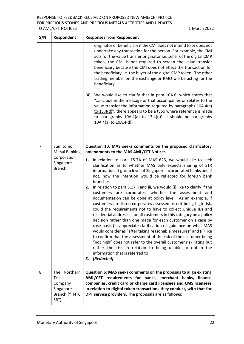| S/N | <b>Respondent</b>                                                          | <b>Responses from Respondent</b>                                                                                                                                                                                                                                                                                                                                                                                                                                                                                                                                                                                                                                                                                                                                                                                                                                                                                                                                                                                                                                                                                                                                          |  |  |
|-----|----------------------------------------------------------------------------|---------------------------------------------------------------------------------------------------------------------------------------------------------------------------------------------------------------------------------------------------------------------------------------------------------------------------------------------------------------------------------------------------------------------------------------------------------------------------------------------------------------------------------------------------------------------------------------------------------------------------------------------------------------------------------------------------------------------------------------------------------------------------------------------------------------------------------------------------------------------------------------------------------------------------------------------------------------------------------------------------------------------------------------------------------------------------------------------------------------------------------------------------------------------------|--|--|
|     |                                                                            | originator or beneficiary if the CMI does not intend to or does not<br>undertake any transaction for the person. For example, the CMI<br>acts for the value transfer originator i.e. seller of the digital CMP<br>token, the CMI is not required to screen the value transfer<br>beneficiary because the CMI does not effect the transaction for<br>the beneficiary i.e. the buyer of the digital CMP token. The other<br>trading member on the exchange or RMO will be acting for the<br>beneficiary.                                                                                                                                                                                                                                                                                                                                                                                                                                                                                                                                                                                                                                                                    |  |  |
|     |                                                                            | We would like to clarify that in para 10A.6, which states that<br>(4)<br>"include in the message or that accompanies or relates to the<br>value transfer the information required by paragraphs 10A.4(a)<br>to $13.4(d)$ ", there appears to be a typo where reference is made<br>to 'paragraphs $10A.4(a)$ to $13.4(d)'$ . It should be paragraphs<br>10A.4(a) to 10A.4(d)?                                                                                                                                                                                                                                                                                                                                                                                                                                                                                                                                                                                                                                                                                                                                                                                              |  |  |
| 7   | Sumitomo<br>Mitsui Banking                                                 | Question 10: MAS seeks comments on the proposed clarificatory<br>amendments to the MAS AML/CFT Notices.                                                                                                                                                                                                                                                                                                                                                                                                                                                                                                                                                                                                                                                                                                                                                                                                                                                                                                                                                                                                                                                                   |  |  |
|     | Corporation<br>Singapore<br><b>Branch</b>                                  | 1. In relation to para 15.7A of MAS 626, we would like to seek<br>clarification as to whether MAS only expects sharing of STR<br>information at group level of Singapore incorporated banks and if<br>not, how the intention would be reflected for foreign bank<br>branches<br>In relation to para 3.17 ii and iii, we would (i) like to clarify if the<br>2.<br>customers are corporates, whether the assessment and<br>documentation can be done at policy level. As an example, if<br>customers are listed corporates assessed as not being high risk,<br>could the requirements not to have to collect Unique IDs and<br>residential addresses for all customers in this category be a policy<br>decision rather than one made for each customer on a case by<br>case basis (ii) appreciate clarification or guidance on what MAS<br>would consider as "after taking reasonable measures" and (ii) like<br>to confirm that the assessment of the risk of the customer being<br>"not high" does not refer to the overall customer risk rating but<br>rather the risk in relation to being unable to obtain the<br>information that is referred to<br>[Redacted]<br>З. |  |  |
| 8   | The Northern<br>Trust<br>Company<br>Singapore<br>Branch ("TNTC<br>$SB''$ ) | Question 6: MAS seeks comments on the proposals to align existing<br>AML/CFT requirements for banks, merchant banks, finance<br>companies, credit card or charge card licensees and CMS licensees<br>in relation to digital token transactions they conduct, with that for<br>DPT service providers. The proposals are as follows:                                                                                                                                                                                                                                                                                                                                                                                                                                                                                                                                                                                                                                                                                                                                                                                                                                        |  |  |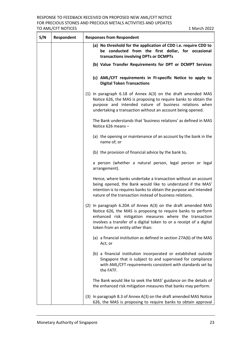| S/N | Respondent | <b>Responses from Respondent</b>                                                                                                                                                                                                                                                                    |  |  |
|-----|------------|-----------------------------------------------------------------------------------------------------------------------------------------------------------------------------------------------------------------------------------------------------------------------------------------------------|--|--|
|     |            | (a) No threshold for the application of CDD i.e. require CDD to<br>be conducted from the first dollar, for occasional<br>transactions involving DPTs or DCMPTs                                                                                                                                      |  |  |
|     |            | (b) Value Transfer Requirements for DPT or DCMPT Services                                                                                                                                                                                                                                           |  |  |
|     |            | (c) AML/CFT requirements in FI-specific Notice to apply to<br><b>Digital Token Transactions</b>                                                                                                                                                                                                     |  |  |
|     |            | (1) In paragraph $6.18$ of Annex $A(3)$ on the draft amended MAS<br>Notice 626, the MAS is proposing to require banks to obtain the<br>purpose and intended nature of business relations when<br>undertaking a transaction without an account being opened.                                         |  |  |
|     |            | The Bank understands that 'business relations' as defined in MAS<br>Notice 626 means -                                                                                                                                                                                                              |  |  |
|     |            | (a) the opening or maintenance of an account by the bank in the<br>name of; or                                                                                                                                                                                                                      |  |  |
|     |            | (b) the provision of financial advice by the bank to,                                                                                                                                                                                                                                               |  |  |
|     |            | a person (whether a natural person, legal person or legal<br>arrangement).                                                                                                                                                                                                                          |  |  |
|     |            | Hence, where banks undertake a transaction without an account<br>being opened, the Bank would like to understand if the MAS'<br>intention is to requires banks to obtain the purpose and intended<br>nature of the transaction instead of business relations.                                       |  |  |
|     |            | (2) In paragraph 6.20A of Annex A(3) on the draft amended MAS<br>Notice 626, the MAS is proposing to require banks to perform<br>enhanced risk mitigation measures where the transaction<br>involves a transfer of a digital token to or a receipt of a digital<br>token from an entity other than: |  |  |
|     |            | (a) a financial institution as defined in section 27A(6) of the MAS<br>Act; or                                                                                                                                                                                                                      |  |  |
|     |            | (b) a financial institution incorporated or established outside<br>Singapore that is subject to and supervised for compliance<br>with AML/CFT requirements consistent with standards set by<br>the FATF.                                                                                            |  |  |
|     |            | The Bank would like to seek the MAS' guidance on the details of<br>the enhanced risk mitigation measures that banks may perform.                                                                                                                                                                    |  |  |
|     |            | (3) In paragraph 8.3 of Annex A(3) on the draft amended MAS Notice<br>626, the MAS is proposing to require banks to obtain approval                                                                                                                                                                 |  |  |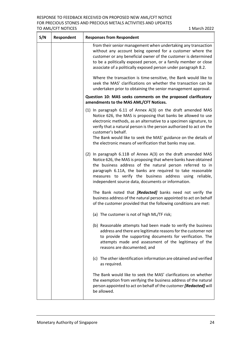| S/N | <b>Respondent</b> | <b>Responses from Respondent</b>                                                                                                                                                                                                                                                                                                                                             |
|-----|-------------------|------------------------------------------------------------------------------------------------------------------------------------------------------------------------------------------------------------------------------------------------------------------------------------------------------------------------------------------------------------------------------|
|     |                   | from their senior management when undertaking any transaction<br>without any account being opened for a customer where the<br>customer or any beneficial owner of the customer is determined<br>to be a politically exposed person, or a family member or close<br>associate of a politically exposed person under paragraph 8.2.                                            |
|     |                   | Where the transaction is time-sensitive, the Bank would like to<br>seek the MAS' clarifications on whether the transaction can be<br>undertaken prior to obtaining the senior management approval.                                                                                                                                                                           |
|     |                   | Question 10: MAS seeks comments on the proposed clarificatory<br>amendments to the MAS AML/CFT Notices.                                                                                                                                                                                                                                                                      |
|     |                   | $(1)$ In paragraph 6.11 of Annex A $(3)$ on the draft amended MAS<br>Notice 626, the MAS is proposing that banks be allowed to use<br>electronic methods, as an alternative to a specimen signature, to<br>verify that a natural person is the person authorized to act on the<br>customer's behalf.<br>The Bank would like to seek the MAS' guidance on the details of      |
|     |                   | the electronic means of verification that banks may use.                                                                                                                                                                                                                                                                                                                     |
|     |                   | (2) In paragraph 6.11B of Annex A(3) on the draft amended MAS<br>Notice 626, the MAS is proposing that where banks have obtained<br>the business address of the natural person referred to in<br>paragraph 6.11A, the banks are required to take reasonable<br>measures to verify the business address using reliable,<br>independent source data, documents or information. |
|     |                   | The Bank noted that [Redacted] banks need not verify the<br>business address of the natural person appointed to act on behalf<br>of the customer provided that the following conditions are met:                                                                                                                                                                             |
|     |                   | (a) The customer is not of high ML/TF risk;                                                                                                                                                                                                                                                                                                                                  |
|     |                   | (b) Reasonable attempts had been made to verify the business<br>address and there are legitimate reasons for the customer not<br>to provide the supporting documents for verification. The<br>attempts made and assessment of the legitimacy of the<br>reasons are documented; and                                                                                           |
|     |                   | (c) The other identification information are obtained and verified<br>as required.                                                                                                                                                                                                                                                                                           |
|     |                   | The Bank would like to seek the MAS' clarifications on whether<br>the exemption from verifying the business address of the natural<br>person appointed to act on behalf of the customer [Redacted] will<br>be allowed.                                                                                                                                                       |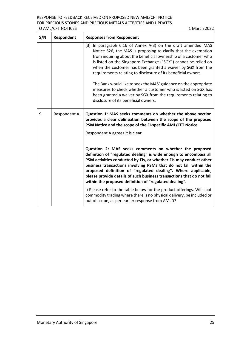| S/N | <b>Respondent</b> | <b>Responses from Respondent</b>                                                                                                                                                                                                                                                                                                                                                                                                                                                                                                                                                                                                                    |
|-----|-------------------|-----------------------------------------------------------------------------------------------------------------------------------------------------------------------------------------------------------------------------------------------------------------------------------------------------------------------------------------------------------------------------------------------------------------------------------------------------------------------------------------------------------------------------------------------------------------------------------------------------------------------------------------------------|
|     |                   | (3) In paragraph 6.16 of Annex A(3) on the draft amended MAS<br>Notice 626, the MAS is proposing to clarify that the exemption<br>from inquiring about the beneficial ownership of a customer who<br>is listed on the Singapore Exchange ("SGX") cannot be relied on<br>when the customer has been granted a waiver by SGX from the<br>requirements relating to disclosure of its beneficial owners.<br>The Bank would like to seek the MAS' guidance on the appropriate<br>measures to check whether a customer who is listed on SGX has<br>been granted a waiver by SGX from the requirements relating to<br>disclosure of its beneficial owners. |
| 9   | Respondent A      | Question 1: MAS seeks comments on whether the above section<br>provides a clear delineation between the scope of the proposed<br>PSM Notice and the scope of the FI-specific AML/CFT Notice.<br>Respondent A agrees it is clear.                                                                                                                                                                                                                                                                                                                                                                                                                    |
|     |                   | Question 2: MAS seeks comments on whether the proposed<br>definition of "regulated dealing" is wide enough to encompass all<br>PSM activities conducted by FIs, or whether FIs may conduct other<br>business transactions involving PSMs that do not fall within the<br>proposed definition of "regulated dealing". Where applicable,<br>please provide details of such business transactions that do not fall<br>within the proposed definition of "regulated dealing".                                                                                                                                                                            |
|     |                   | i) Please refer to the table below for the product offerings. Will spot<br>commodity trading where there is no physical delivery, be included or<br>out of scope, as per earlier response from AMLD?                                                                                                                                                                                                                                                                                                                                                                                                                                                |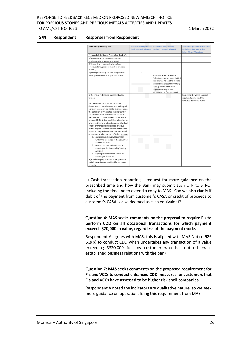#### RESPONSE TO FEEDBACK RECEIVED ON PROPOSED NEW AML/CFT NOTICE FOR PRECIOUS STONES AND PRECIOUS METALS ACTIVITIES AND UPDATES TO AML/CFT NOTICES 1 March 2022

| S/N | Respondent | <b>Responses from Respondent</b>                                                                                                                                                                                                                                                                                                           |                          |                                                                                                                                      |                                                                                            |
|-----|------------|--------------------------------------------------------------------------------------------------------------------------------------------------------------------------------------------------------------------------------------------------------------------------------------------------------------------------------------------|--------------------------|--------------------------------------------------------------------------------------------------------------------------------------|--------------------------------------------------------------------------------------------|
|     |            | PB Offering involving PSM:                                                                                                                                                                                                                                                                                                                 | (with physical delivery) | Spot commodity trading Spot commodity trading<br>(without physical delivery)                                                         | Structured products with PS/PM<br>underlying (e.g. gold/silver<br>linked SNs, OTC options) |
|     |            | Proposed definition of "regulated dealing":                                                                                                                                                                                                                                                                                                |                          |                                                                                                                                      |                                                                                            |
|     |            | (a) Manufacturing any precious stone,<br>precious metal or precious product;                                                                                                                                                                                                                                                               |                          |                                                                                                                                      |                                                                                            |
|     |            | (b) Importing or possessing for sale any                                                                                                                                                                                                                                                                                                   |                          |                                                                                                                                      |                                                                                            |
|     |            | precious stone, precious metal or precious<br>product:                                                                                                                                                                                                                                                                                     |                          |                                                                                                                                      |                                                                                            |
|     |            | (c) Selling or offering for sale any precious<br>stone, precious metal or precious product;                                                                                                                                                                                                                                                |                          | As part of MAS' PSPM Data<br>Collection request, MAS clarified<br>that there is no need to include<br>transactions of spot commodity |                                                                                            |
|     |            |                                                                                                                                                                                                                                                                                                                                            |                          | trading where there is no<br>physical delivery of the<br>commodity. (3 <sup>rd</sup> attachment)                                     |                                                                                            |
|     |            | (d) Selling or redeeming any asset-backed<br>tokens;<br>For the avoidance of doubt, securities,<br>derivatives, commodity contracts and digital<br>payment tokens would not be captured under<br>the definition of "regulated dealing" as they<br>are excluded from the definition of "asset-                                              |                          |                                                                                                                                      | Securities/derivative contract<br>regulated under the SFA;<br>excluded from PSM Notice     |
|     |            | backed token". "Asset-backed token" in the<br>proposed PSM Notice would be defined as "a<br>token, certificate or other instrument backed<br>by one or more precious stones, precious<br>metals or precious products that entitles the<br>holder to the precious stone, precious metal<br>or precious product, or part of it, but excludes |                          |                                                                                                                                      |                                                                                            |
|     |            | a. securities or derivatives contracts<br>within the meanings of the Securities<br>and Futures Act;<br>b. commodity contracts within the                                                                                                                                                                                                   |                          |                                                                                                                                      |                                                                                            |
|     |            | meaning of the Commodity Trading<br>Act; and<br>c. digital payment tokens within the                                                                                                                                                                                                                                                       |                          |                                                                                                                                      |                                                                                            |
|     |            | meaning of the PS Act.<br>(e) Purchasing any precious stone, precious                                                                                                                                                                                                                                                                      |                          |                                                                                                                                      |                                                                                            |
|     |            | metal or precious product for the purposes<br>of resale.                                                                                                                                                                                                                                                                                   |                          |                                                                                                                                      |                                                                                            |
|     |            | ii) Cash transaction reporting $-$ request for more guidance on the<br>prescribed time and how the Bank may submit such CTR to STRO,<br>including the timeline to extend a copy to MAS. Can we also clarify if<br>debit of the payment from customer's CASA or credit of proceeds to<br>customer's CASA is also deemed as cash equivalent? |                          |                                                                                                                                      |                                                                                            |
|     |            | Question 4: MAS seeks comments on the proposal to require FIs to<br>perform CDD on all occasional transactions for which payment<br>exceeds \$20,000 in value, regardless of the payment mode.                                                                                                                                             |                          |                                                                                                                                      |                                                                                            |
|     |            | Respondent A agrees with MAS, this is aligned with MAS Notice 626<br>6.3(b) to conduct CDD when undertakes any transaction of a value<br>exceeding S\$20,000 for any customer who has not otherwise<br>established business relations with the bank.                                                                                       |                          |                                                                                                                                      |                                                                                            |
|     |            | Question 7: MAS seeks comments on the proposed requirement for<br>FIs and VCCs to conduct enhanced CDD measures for customers that<br>FIs and VCCs have assessed to be higher risk shell companies.                                                                                                                                        |                          |                                                                                                                                      |                                                                                            |
|     |            | Respondent A noted the indicators are qualitative nature, so we seek<br>more guidance on operationalising this requirement from MAS.                                                                                                                                                                                                       |                          |                                                                                                                                      |                                                                                            |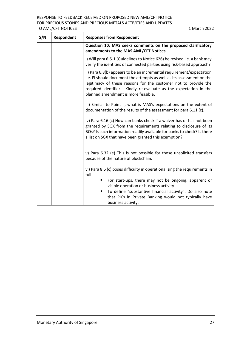| Respondent | <b>Responses from Respondent</b>                                                                                                                                                                                                                                                                                             |
|------------|------------------------------------------------------------------------------------------------------------------------------------------------------------------------------------------------------------------------------------------------------------------------------------------------------------------------------|
|            | Question 10: MAS seeks comments on the proposed clarificatory<br>amendments to the MAS AML/CFT Notices.                                                                                                                                                                                                                      |
|            | i) Will para 6-5-1 (Guidelines to Notice 626) be revised i.e. a bank may<br>verify the identities of connected parties using risk-based approach?                                                                                                                                                                            |
|            | ii) Para 6.8(b) appears to be an incremental requirement/expectation<br>i.e. FI should document the attempts as well as its assessment on the<br>legitimacy of these reasons for the customer not to provide the<br>required identifier. Kindly re-evaluate as the expectation in the<br>planned amendment is more feasible. |
|            | iii) Similar to Point ii, what is MAS's expectations on the extent of<br>documentation of the results of the assessment for para 6.11 (c).                                                                                                                                                                                   |
|            | iv) Para 6.16 (c) How can banks check if a waiver has or has not been<br>granted by SGX from the requirements relating to disclosure of its<br>BOs? Is such information readily available for banks to check? Is there<br>a list on SGX that have been granted this exemption?                                               |
|            | v) Para 6.32 (e) This is not possible for those unsolicited transfers<br>because of the nature of blockchain.                                                                                                                                                                                                                |
|            | vi) Para 8.6 (c) poses difficulty in operationalising the requirements in<br>full.                                                                                                                                                                                                                                           |
|            | For start-ups, there may not be ongoing, apparent or<br>٠<br>visible operation or business activity<br>To define "substantive financial activity". Do also note<br>ш<br>that PICs in Private Banking would not typically have<br>business activity.                                                                          |
|            |                                                                                                                                                                                                                                                                                                                              |